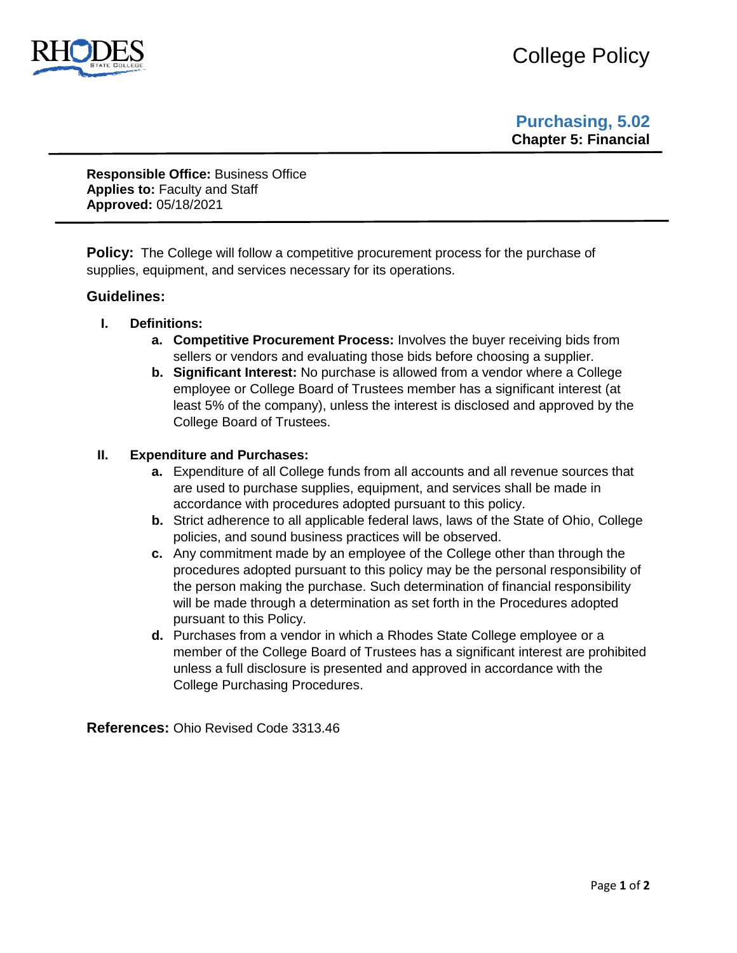

**Purchasing, 5.02 Chapter 5: Financial**

**Responsible Office:** Business Office **Applies to:** Faculty and Staff **Approved:** 05/18/2021

**Policy:** The College will follow a competitive procurement process for the purchase of supplies, equipment, and services necessary for its operations.

## **Guidelines:**

- **I. Definitions:** 
	- **a. Competitive Procurement Process:** Involves the buyer receiving bids from sellers or vendors and evaluating those bids before choosing a supplier.
	- **b. Significant Interest:** No purchase is allowed from a vendor where a College employee or College Board of Trustees member has a significant interest (at least 5% of the company), unless the interest is disclosed and approved by the College Board of Trustees.

## **II. Expenditure and Purchases:**

- **a.** Expenditure of all College funds from all accounts and all revenue sources that are used to purchase supplies, equipment, and services shall be made in accordance with procedures adopted pursuant to this policy.
- **b.** Strict adherence to all applicable federal laws, laws of the State of Ohio, College policies, and sound business practices will be observed.
- **c.** Any commitment made by an employee of the College other than through the procedures adopted pursuant to this policy may be the personal responsibility of the person making the purchase. Such determination of financial responsibility will be made through a determination as set forth in the Procedures adopted pursuant to this Policy.
- **d.** Purchases from a vendor in which a Rhodes State College employee or a member of the College Board of Trustees has a significant interest are prohibited unless a full disclosure is presented and approved in accordance with the College Purchasing Procedures.

**References:** Ohio Revised Code 3313.46